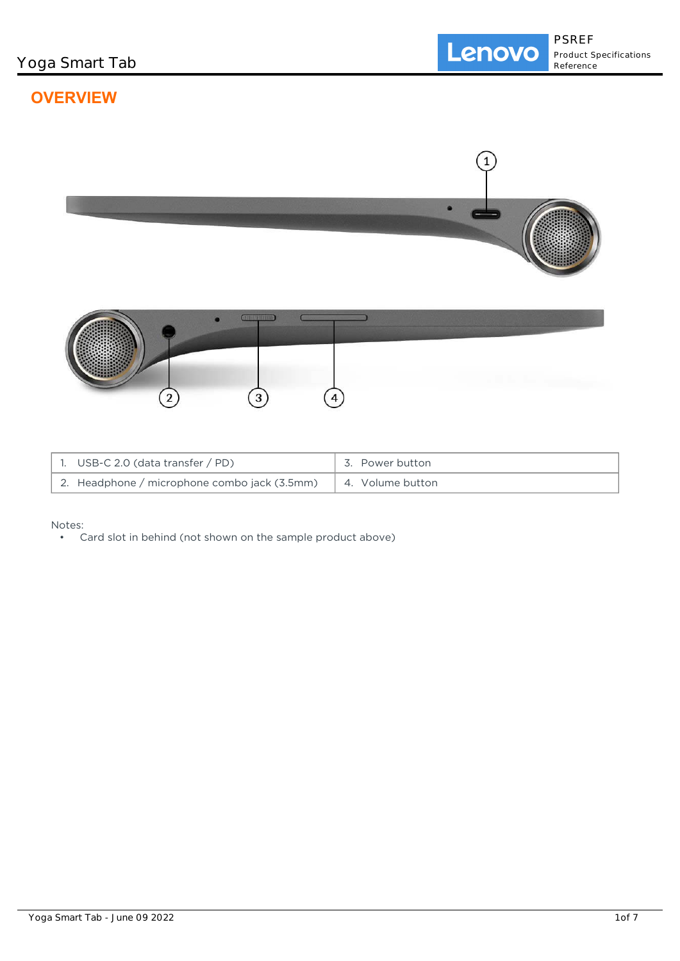# **OVERVIEW**



| 1. USB-C 2.0 (data transfer $/$ PD)          | 3. Power button  |
|----------------------------------------------|------------------|
| 2. Headphone / microphone combo jack (3.5mm) | 4. Volume button |

Notes:

• Card slot in behind (not shown on the sample product above)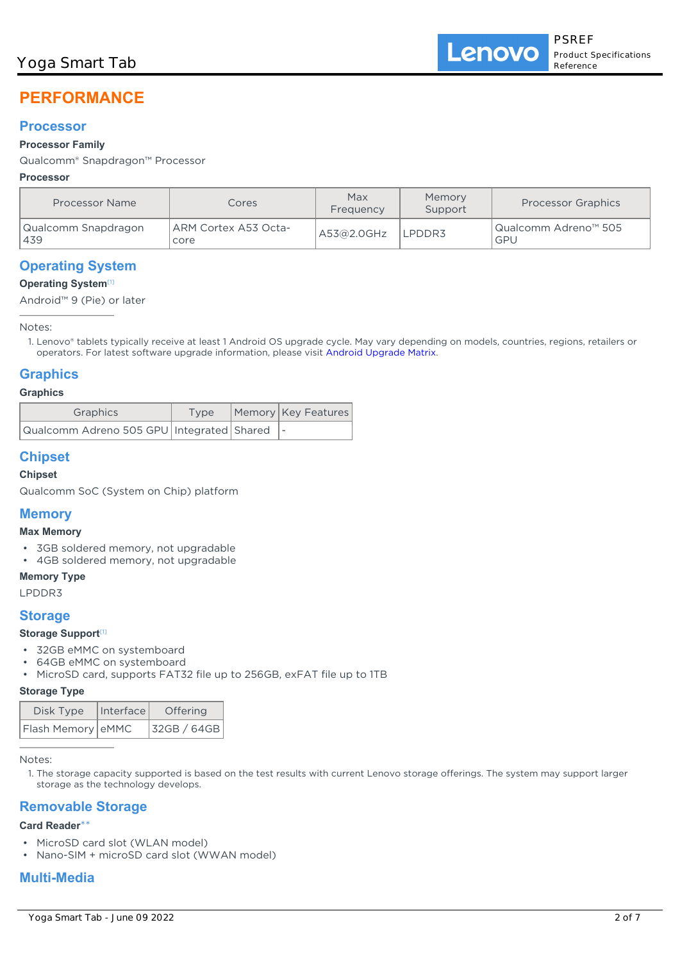# **PERFORMANCE**

## **Processor**

## **Processor Family**

## Qualcomm® Snapdragon™ Processor

## **Processor**

| Processor Name              | Cores                        | Max<br>Frequency | Memory<br>Support | <b>Processor Graphics</b>   |
|-----------------------------|------------------------------|------------------|-------------------|-----------------------------|
| Qualcomm Snapdragon<br> 439 | ARM Cortex A53 Octa-<br>core | A53@2.0GHz       | LPDDR3            | Qualcomm Adreno™ 505<br>GPU |

## **Operating System**

## **Operating System**[1]

Android™ 9 (Pie) or later

Notes:

Lenovo® tablets typically receive at least 1 Android OS upgrade cycle. May vary depending on models, countries, regions, retailers or 1. operators. For latest software upgrade information, please visit [Android Upgrade Matrix.](https://support.lenovo.com/solutions/ht501098)

## **Graphics**

#### **Graphics**

| Graphics                                     | Type | Memory   Key Features |
|----------------------------------------------|------|-----------------------|
| Qualcomm Adreno 505 GPU Integrated Shared  - |      |                       |

## **Chipset**

### **Chipset**

Qualcomm SoC (System on Chip) platform

## **Memory**

#### **Max Memory**

- 3GB soldered memory, not upgradable
- 4GB soldered memory, not upgradable

**Memory Type**

LPDDR3

## **Storage**

### **Storage Support**[1]

- 32GB eMMC on systemboard
- 64GB eMMC on systemboard
- MicroSD card, supports FAT32 file up to 256GB, exFAT file up to 1TB

#### **Storage Type**

| Disk Type         | Interface | Offering    |  |
|-------------------|-----------|-------------|--|
| Flash Memory eMMC |           | 32GB / 64GB |  |

Notes:

1. The storage capacity supported is based on the test results with current Lenovo storage offerings. The system may support larger storage as the technology develops.

## **Removable Storage**

#### **Card Reader**\*\*

- MicroSD card slot (WLAN model)
- Nano-SIM + microSD card slot (WWAN model)

## **Multi-Media**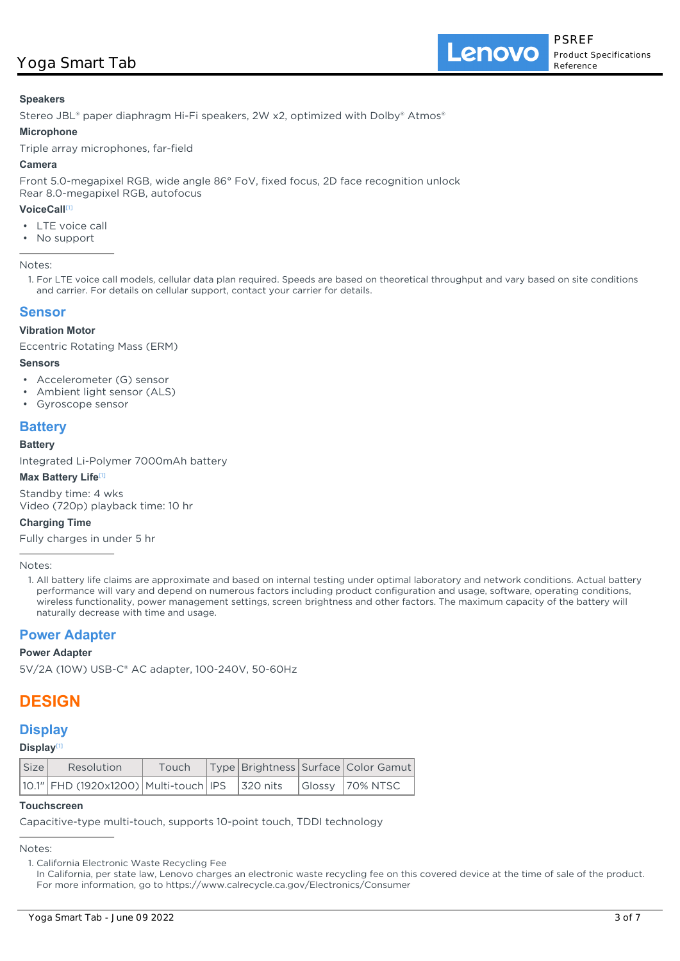#### **Speakers**

Stereo JBL® paper diaphragm Hi-Fi speakers, 2W x2, optimized with Dolby® Atmos®

#### **Microphone**

Triple array microphones, far-field

#### **Camera**

Front 5.0-megapixel RGB, wide angle 86° FoV, fixed focus, 2D face recognition unlock Rear 8.0-megapixel RGB, autofocus

#### **VoiceCall**[1]

- LTE voice call
- No support

Notes:

1. For LTE voice call models, cellular data plan required. Speeds are based on theoretical throughput and vary based on site conditions and carrier. For details on cellular support, contact your carrier for details.

### **Sensor**

#### **Vibration Motor**

Eccentric Rotating Mass (ERM)

#### **Sensors**

- Accelerometer (G) sensor
- Ambient light sensor (ALS)
- Gyroscope sensor

## **Battery**

#### **Battery**

Integrated Li-Polymer 7000mAh battery

#### **Max Battery Life**[1]

Standby time: 4 wks Video (720p) playback time: 10 hr

#### **Charging Time**

Fully charges in under 5 hr

#### Notes:

All battery life claims are approximate and based on internal testing under optimal laboratory and network conditions. Actual battery 1. performance will vary and depend on numerous factors including product configuration and usage, software, operating conditions, wireless functionality, power management settings, screen brightness and other factors. The maximum capacity of the battery will naturally decrease with time and usage.

## **Power Adapter**

#### **Power Adapter**

5V/2A (10W) USB-C® AC adapter, 100-240V, 50-60Hz

## **DESIGN**

## **Display**

**Display**[1]

| Size | Resolution                                                                                     |  |  | Touch   Type   Brightness   Surface   Color Gamut |
|------|------------------------------------------------------------------------------------------------|--|--|---------------------------------------------------|
|      | $\vert$ 10.1" FHD (1920x1200) Multi-touch IPS $\vert$ 320 nits $\vert$ Glossy $\vert$ 70% NTSC |  |  |                                                   |

#### **Touchscreen**

Capacitive-type multi-touch, supports 10-point touch, TDDI technology

#### Notes:

1. California Electronic Waste Recycling Fee

In California, per state law, Lenovo charges an electronic waste recycling fee on this covered device at the time of sale of the product. For more information, go to https://www.calrecycle.ca.gov/Electronics/Consumer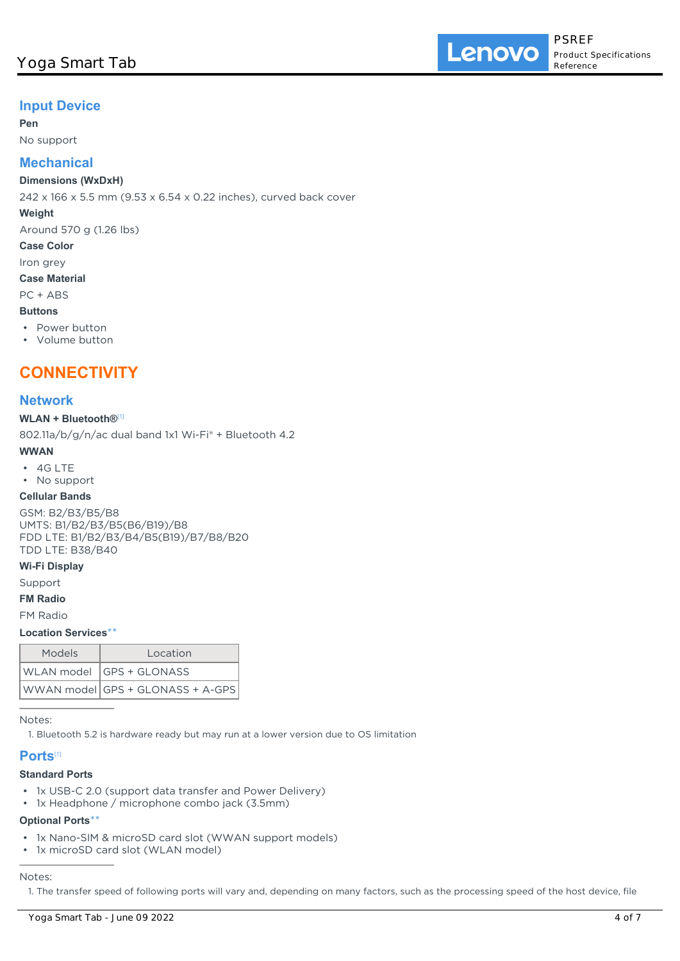## **Input Device**

#### **Pen**

No support

## **Mechanical**

#### **Dimensions (WxDxH)**

242 x 166 x 5.5 mm (9.53 x 6.54 x 0.22 inches), curved back cover

#### **Weight**

Around 570 g (1.26 lbs)

#### **Case Color**

Iron grey

**Case Material**

## PC + ABS

## **Buttons**

• Power button

• Volume button

## **CONNECTIVITY**

### **Network**

#### **WLAN + Bluetooth®**[1]

802.11a/b/g/n/ac dual band 1x1 Wi-Fi® + Bluetooth 4.2

#### **WWAN**

• 4G LTE

### • No support

#### **Cellular Bands**

GSM: B2/B3/B5/B8 UMTS: B1/B2/B3/B5(B6/B19)/B8 FDD LTE: B1/B2/B3/B4/B5(B19)/B7/B8/B20 TDD LTE: B38/B40

#### **Wi-Fi Display**

Support

#### **FM Radio**

FM Radio

#### **Location Services**\*\*

| Models | Location                         |
|--------|----------------------------------|
|        | WLAN model   GPS + GLONASS       |
|        | WWAN model GPS + GLONASS + A-GPS |

Notes:

1. Bluetooth 5.2 is hardware ready but may run at a lower version due to OS limitation

## **Ports**[1]

## **Standard Ports**

- 1x USB-C 2.0 (support data transfer and Power Delivery)
- 1x Headphone / microphone combo jack (3.5mm)

### **Optional Ports**\*\*

- 1x Nano-SIM & microSD card slot (WWAN support models)
- 1x microSD card slot (WLAN model)

### Notes:

1. The transfer speed of following ports will vary and, depending on many factors, such as the processing speed of the host device, file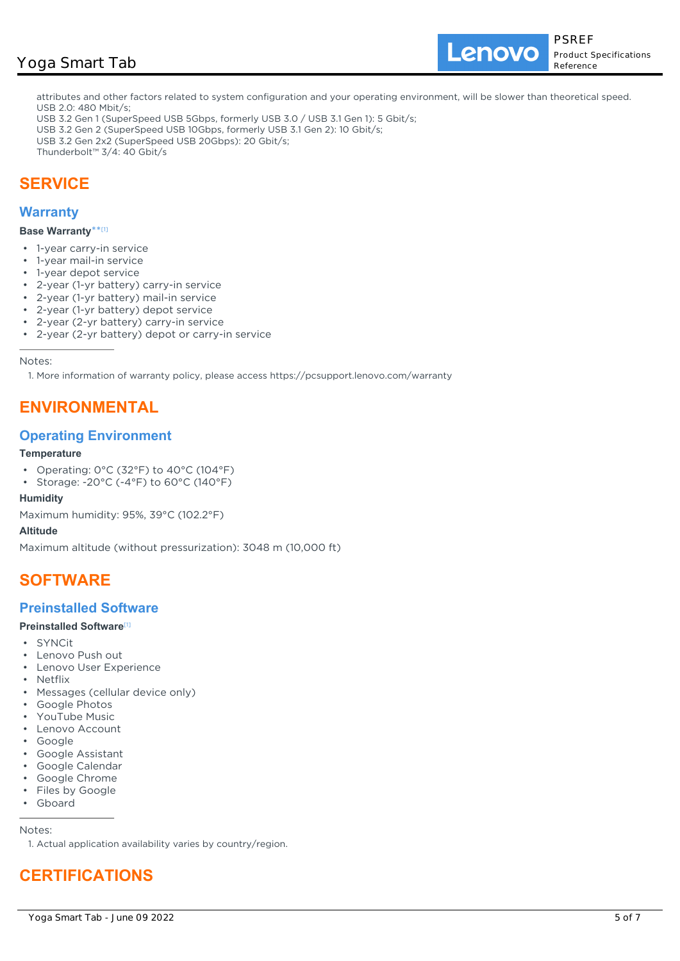## Yoga Smart Tab

Lenovo

attributes and other factors related to system configuration and your operating environment, will be slower than theoretical speed. USB 2.0: 480 Mbit/s;

- USB 3.2 Gen 1 (SuperSpeed USB 5Gbps, formerly USB 3.0 / USB 3.1 Gen 1): 5 Gbit/s;
- USB 3.2 Gen 2 (SuperSpeed USB 10Gbps, formerly USB 3.1 Gen 2): 10 Gbit/s;
- USB 3.2 Gen 2x2 (SuperSpeed USB 20Gbps): 20 Gbit/s;
- Thunderbolt™ 3/4: 40 Gbit/s

## **SERVICE**

#### **Warranty**

#### **Base Warranty**\*\* [1]

- 1-year carry-in service
- 1-year mail-in service
- 1-year depot service
- 2-year (1-yr battery) carry-in service
- 2-year (1-yr battery) mail-in service
- 2-year (1-yr battery) depot service
- 2-year (2-yr battery) carry-in service
- 2-year (2-yr battery) depot or carry-in service

Notes:

1. More information of warranty policy, please access https://pcsupport.lenovo.com/warranty

## **ENVIRONMENTAL**

## **Operating Environment**

#### **Temperature**

- Operating: 0°C (32°F) to 40°C (104°F)
- Storage: -20°C (-4°F) to 60°C (140°F)

#### **Humidity**

Maximum humidity: 95%, 39°C (102.2°F)

#### **Altitude**

Maximum altitude (without pressurization): 3048 m (10,000 ft)

## **SOFTWARE**

## **Preinstalled Software**

#### **Preinstalled Software**[1]

- SYNCit
- Lenovo Push out
- Lenovo User Experience
- Netflix
- Messages (cellular device only)
- Google Photos
- YouTube Music
- Lenovo Account
- Google
- Google Assistant
- Google Calendar
- Google Chrome
- Files by Google
- Gboard

#### Notes:

1. Actual application availability varies by country/region.

# **CERTIFICATIONS**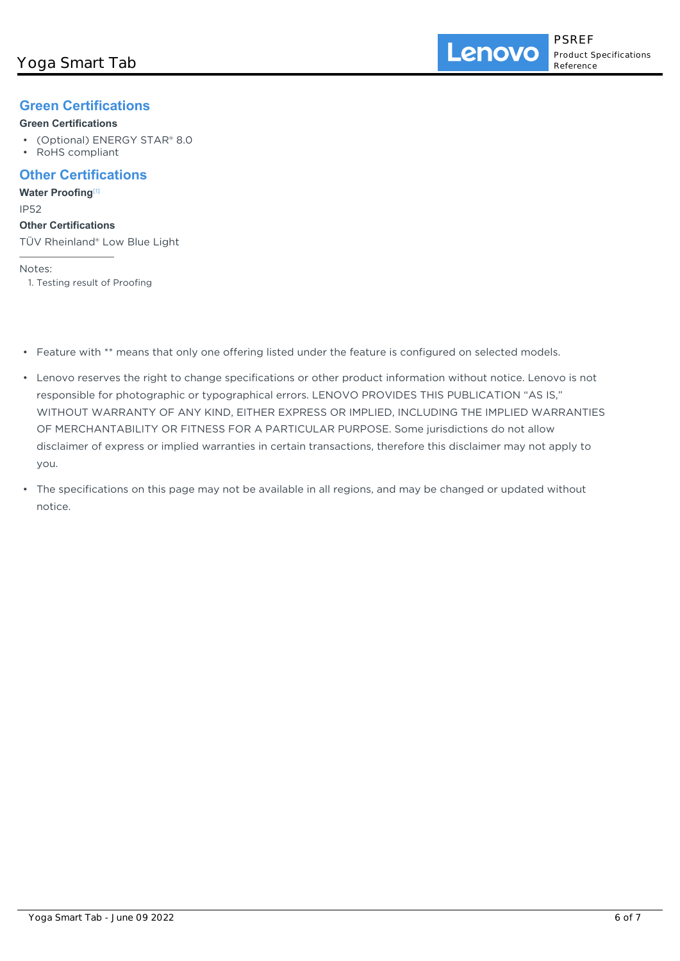## **Green Certifications**

### **Green Certifications**

- (Optional) ENERGY STAR® 8.0
- RoHS compliant

## **Other Certifications**

**Water Proofing**[1]

IP52

#### **Other Certifications**

TÜV Rheinland® Low Blue Light

Notes:

1. Testing result of Proofing

- Feature with \*\* means that only one offering listed under the feature is configured on selected models.
- Lenovo reserves the right to change specifications or other product information without notice. Lenovo is not responsible for photographic or typographical errors. LENOVO PROVIDES THIS PUBLICATION "AS IS," WITHOUT WARRANTY OF ANY KIND, EITHER EXPRESS OR IMPLIED, INCLUDING THE IMPLIED WARRANTIES OF MERCHANTABILITY OR FITNESS FOR A PARTICULAR PURPOSE. Some jurisdictions do not allow disclaimer of express or implied warranties in certain transactions, therefore this disclaimer may not apply to you.
- The specifications on this page may not be available in all regions, and may be changed or updated without notice.